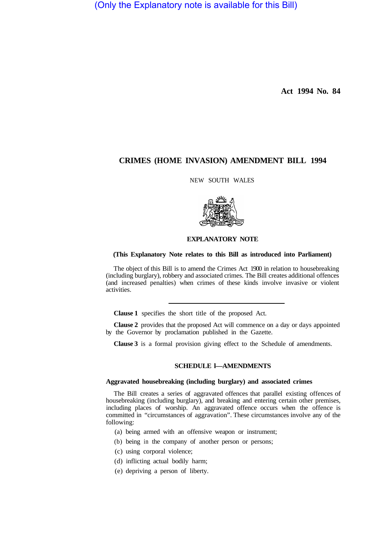(Only the Explanatory note is available for this Bill)

**Act 1994 No. 84** 

# **CRIMES (HOME INVASION) AMENDMENT BILL 1994**

NEW SOUTH WALES



## **EXPLANATORY NOTE**

## **(This Explanatory Note relates to this Bill as introduced into Parliament)**

The object of this Bill is to amend the Crimes Act 1900 in relation to housebreaking (including burglary), robbery and associated crimes. The Bill creates additional offences (and increased penalties) when crimes of these kinds involve invasive or violent activities.

**Clause 1** specifies the short title of the proposed Act.

**Clause 2** provides that the proposed Act will commence on a day or days appointed by the Governor by proclamation published in the Gazette.

**Clause 3** is a formal provision giving effect to the Schedule of amendments.

## **SCHEDULE l—AMENDMENTS**

## **Aggravated housebreaking (including burglary) and associated crimes**

The Bill creates a series of aggravated offences that parallel existing offences of housebreaking (including burglary), and breaking and entering certain other premises, including places of worship. An aggravated offence occurs when the offence is committed in "circumstances of aggravation". These circumstances involve any of the following:

- (a) being armed with an offensive weapon or instrument;
- (b) being in the company of another person or persons;
- (c) using corporal violence;
- (d) inflicting actual bodily harm;
- (e) depriving a person of liberty.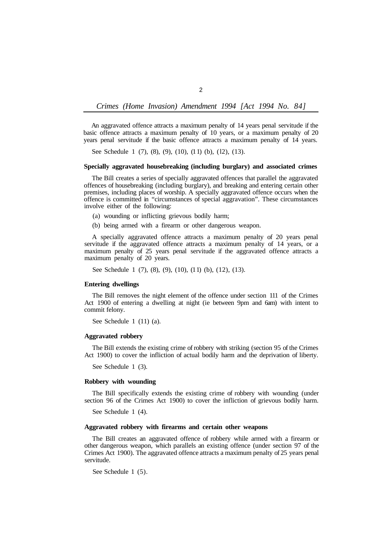*Crimes (Home Invasion) Amendment 1994 [Act 1994 No. 84]* 

An aggravated offence attracts a maximum penalty of 14 years penal servitude if the basic offence attracts a maximum penalty of 10 years, or a maximum penalty of 20 years penal servitude if the basic offence attracts a maximum penalty of 14 years.

See Schedule 1 (7), (8), (9), (10), (11) (b), (12), (13).

### **Specially aggravated housebreaking (including burglary) and associated crimes**

The Bill creates a series of specially aggravated offences that parallel the aggravated offences of housebreaking (including burglary), and breaking and entering certain other premises, including places of worship. A specially aggravated offence occurs when the offence is committed in "circumstances of special aggravation". These circumstances involve either of the following:

(a) wounding or inflicting grievous bodily harm;

(b) being armed with a firearm or other dangerous weapon.

A specially aggravated offence attracts a maximum penalty of 20 years penal servitude if the aggravated offence attracts a maximum penalty of 14 years, or a maximum penalty of 25 years penal servitude if the aggravated offence attracts a maximum penalty of 20 years.

See Schedule 1 (7), (8), (9), (10), (11) (b), (12), (13).

## **Entering dwellings**

The Bill removes the night element of the offence under section 111 of the Crimes Act 1900 of entering a dwelling at night (ie between 9pm and 6am) with intent to commit felony.

See Schedule 1 (11) (a).

#### **Aggravated robbery**

The Bill extends the existing crime of robbery with striking (section 95 of the Crimes Act 1900) to cover the infliction of actual bodily harm and the deprivation of liberty.

See Schedule 1 (3).

## **Robbery with wounding**

The Bill specifically extends the existing crime of robbery with wounding (under section 96 of the Crimes Act 1900) to cover the infliction of grievous bodily harm.

See Schedule 1 (4).

## **Aggravated robbery with firearms and certain other weapons**

The Bill creates an aggravated offence of robbery while armed with a firearm or other dangerous weapon, which parallels an existing offence (under section 97 of the Crimes Act 1900). The aggravated offence attracts a maximum penalty of 25 years penal servitude.

See Schedule 1 (5).